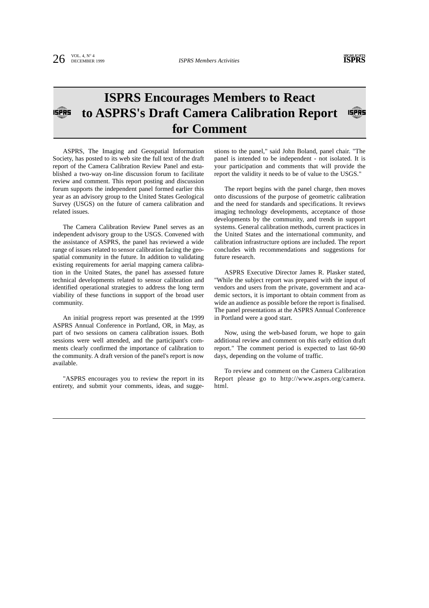## **ISPRS Encourages Members to React to ASPRS's Draft Camera Calibration Report ISPRS ISPRS for Comment**

ASPRS, The Imaging and Geospatial Information Society, has posted to its web site the full text of the draft report of the Camera Calibration Review Panel and established a two-way on-line discussion forum to facilitate review and comment. This report posting and discussion forum supports the independent panel formed earlier this year as an advisory group to the United States Geological Survey (USGS) on the future of camera calibration and related issues.

The Camera Calibration Review Panel serves as an independent advisory group to the USGS. Convened with the assistance of ASPRS, the panel has reviewed a wide range of issues related to sensor calibration facing the geospatial community in the future. In addition to validating existing requirements for aerial mapping camera calibration in the United States, the panel has assessed future technical developments related to sensor calibration and identified operational strategies to address the long term viability of these functions in support of the broad user community.

An initial progress report was presented at the 1999 ASPRS Annual Conference in Portland, OR, in May, as part of two sessions on camera calibration issues. Both sessions were well attended, and the participant's comments clearly confirmed the importance of calibration to the community. A draft version of the panel's report is now available.

"ASPRS encourages you to review the report in its entirety, and submit your comments, ideas, and suggestions to the panel," said John Boland, panel chair. "The panel is intended to be independent - not isolated. It is your participation and comments that will provide the report the validity it needs to be of value to the USGS."

The report begins with the panel charge, then moves onto discussions of the purpose of geometric calibration and the need for standards and specifications. It reviews imaging technology developments, acceptance of those developments by the community, and trends in support systems. General calibration methods, current practices in the United States and the international community, and calibration infrastructure options are included. The report concludes with recommendations and suggestions for future research.

ASPRS Executive Director James R. Plasker stated, "While the subject report was prepared with the input of vendors and users from the private, government and academic sectors, it is important to obtain comment from as wide an audience as possible before the report is finalised. The panel presentations at the ASPRS Annual Conference in Portland were a good start.

Now, using the web-based forum, we hope to gain additional review and comment on this early edition draft report." The comment period is expected to last 60-90 days, depending on the volume of traffic.

To review and comment on the Camera Calibration Report please go to http://www.asprs.org/camera. html.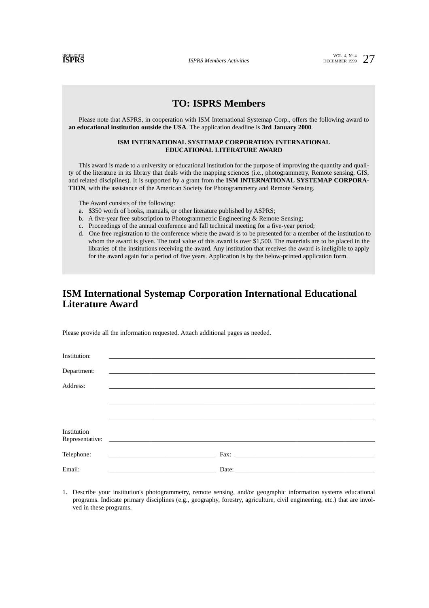*ISPRS Members Activities* 

**ISPRESS** 27

## **TO: ISPRS Members**

Please note that ASPRS, in cooperation with ISM International Systemap Corp., offers the following award to **an educational institution outside the USA**. The application deadline is **3rd January 2000**.

### **ISM INTERNATIONAL SYSTEMAP CORPORATION INTERNATIONAL EDUCATIONAL LITERATURE AWARD**

This award is made to a university or educational institution for the purpose of improving the quantity and quality of the literature in its library that deals with the mapping sciences (i.e., photogrammetry, Remote sensing, GIS, and related disciplines). It is supported by a grant from the **ISM INTERNATIONAL SYSTEMAP CORPORA-TION**, with the assistance of the American Society for Photogrammetry and Remote Sensing.

The Award consists of the following:

- a. \$350 worth of books, manuals, or other literature published by ASPRS;
- b. A five-year free subscription to Photogrammetric Engineering & Remote Sensing;
- c. Proceedings of the annual conference and fall technical meeting for a five-year period;
- d. One free registration to the conference where the award is to be presented for a member of the institution to whom the award is given. The total value of this award is over \$1,500. The materials are to be placed in the libraries of the institutions receiving the award. Any institution that receives the award is ineligible to apply for the award again for a period of five years. Application is by the below-printed application form.

# **ISM International Systemap Corporation International Educational Literature Award**

Please provide all the information requested. Attach additional pages as needed.

| Institution: | <u> 1990 - Jan James James Alexandria (h. 1980).</u>                                   |
|--------------|----------------------------------------------------------------------------------------|
| Department:  |                                                                                        |
| Address:     |                                                                                        |
|              | <u> 1989 - John Stein, markin sammen som starte som starte starte som starte som s</u> |
|              |                                                                                        |
|              |                                                                                        |
| Institution  |                                                                                        |
| Telephone:   | the process of the control of the control of the control of the control of             |
|              |                                                                                        |
| Email:       |                                                                                        |

1. Describe your institution's photogrammetry, remote sensing, and/or geographic information systems educational programs. Indicate primary disciplines (e.g., geography, forestry, agriculture, civil engineering, etc.) that are involved in these programs.